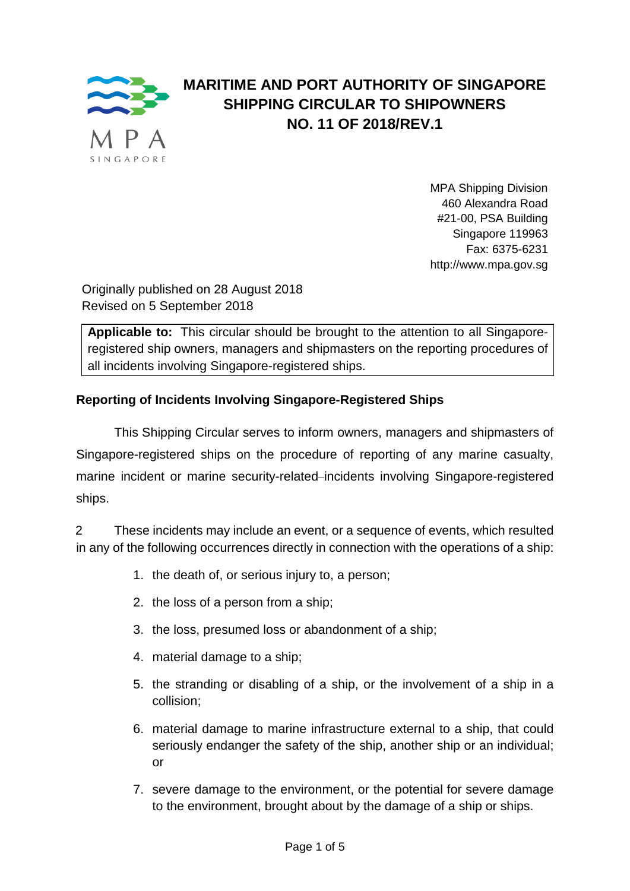

# **MARITIME AND PORT AUTHORITY OF SINGAPORE SHIPPING CIRCULAR TO SHIPOWNERS NO. 11 OF 2018/REV.1**

MPA Shipping Division 460 Alexandra Road #21-00, PSA Building Singapore 119963 Fax: 6375-6231 http://www.mpa.gov.sg

Originally published on 28 August 2018 Revised on 5 September 2018

**Applicable to:** This circular should be brought to the attention to all Singaporeregistered ship owners, managers and shipmasters on the reporting procedures of all incidents involving Singapore-registered ships.

# **Reporting of Incidents Involving Singapore-Registered Ships**

This Shipping Circular serves to inform owners, managers and shipmasters of Singapore-registered ships on the procedure of reporting of any marine casualty, marine incident or marine security-related–incidents involving Singapore-registered ships.

2 These incidents may include an event, or a sequence of events, which resulted in any of the following occurrences directly in connection with the operations of a ship:

- 1. the death of, or serious injury to, a person;
- 2. the loss of a person from a ship;
- 3. the loss, presumed loss or abandonment of a ship;
- 4. material damage to a ship;
- 5. the stranding or disabling of a ship, or the involvement of a ship in a collision;
- 6. material damage to marine infrastructure external to a ship, that could seriously endanger the safety of the ship, another ship or an individual; or
- 7. severe damage to the environment, or the potential for severe damage to the environment, brought about by the damage of a ship or ships.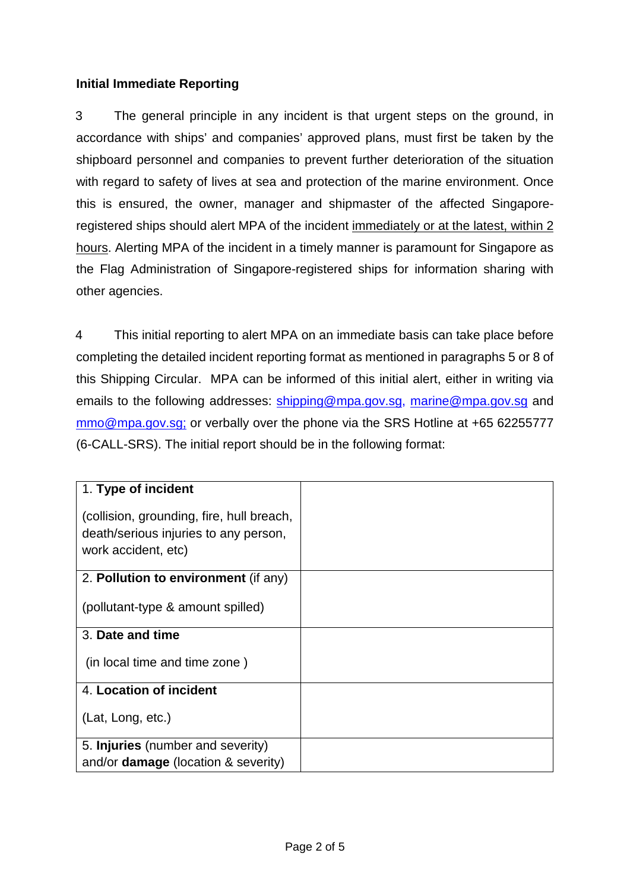## **Initial Immediate Reporting**

3 The general principle in any incident is that urgent steps on the ground, in accordance with ships' and companies' approved plans, must first be taken by the shipboard personnel and companies to prevent further deterioration of the situation with regard to safety of lives at sea and protection of the marine environment. Once this is ensured, the owner, manager and shipmaster of the affected Singaporeregistered ships should alert MPA of the incident immediately or at the latest, within 2 hours. Alerting MPA of the incident in a timely manner is paramount for Singapore as the Flag Administration of Singapore-registered ships for information sharing with other agencies.

4 This initial reporting to alert MPA on an immediate basis can take place before completing the detailed incident reporting format as mentioned in paragraphs 5 or 8 of this Shipping Circular. MPA can be informed of this initial alert, either in writing via emails to the following addresses: [shipping@mpa.gov.sg,](mailto:shipping@mpa.gov.sg) [marine@mpa.gov.sg](mailto:marine@mpa.gov.sg) and [mmo@mpa.gov.sg;](mailto:mmo@mpa.gov.sg) or verbally over the phone via the SRS Hotline at +65 62255777 (6-CALL-SRS). The initial report should be in the following format:

| 1. Type of incident                                                                |  |
|------------------------------------------------------------------------------------|--|
| (collision, grounding, fire, hull breach,<br>death/serious injuries to any person, |  |
| work accident, etc)                                                                |  |
| 2. Pollution to environment (if any)                                               |  |
|                                                                                    |  |
| (pollutant-type & amount spilled)                                                  |  |
|                                                                                    |  |
| 3. Date and time                                                                   |  |
|                                                                                    |  |
| (in local time and time zone)                                                      |  |
|                                                                                    |  |
| 4. Location of incident                                                            |  |
|                                                                                    |  |
| (Lat, Long, etc.)                                                                  |  |
|                                                                                    |  |
| 5. Injuries (number and severity)                                                  |  |
| and/or <b>damage</b> (location & severity)                                         |  |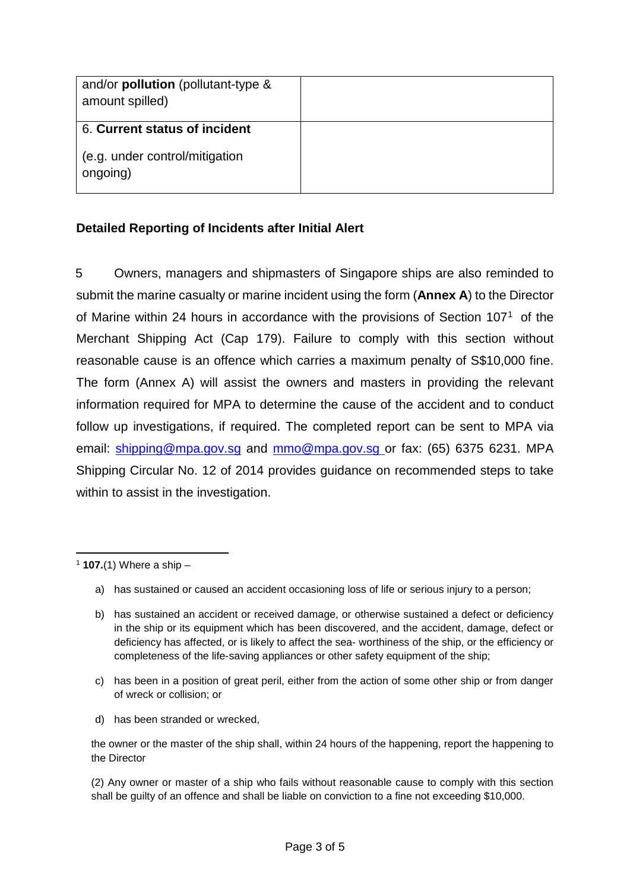| and/or <b>pollution</b> (pollutant-type &<br>amount spilled) |  |
|--------------------------------------------------------------|--|
| 6. Current status of incident                                |  |
| (e.g. under control/mitigation<br>ongoing)                   |  |

### **Detailed Reporting of Incidents after Initial Alert**

5 Owners, managers and shipmasters of Singapore ships are also reminded to submit the marine casualty or marine incident using the form (**[Annex A](#page-5-0)**) to the Director of Marine within 24 hours in accordance with the provisions of Section 107[1](#page-2-0) of the Merchant Shipping Act (Cap 179). Failure to comply with this section without reasonable cause is an offence which carries a maximum penalty of S\$10,000 fine. The form (Annex A) will assist the owners and masters in providing the relevant information required for MPA to determine the cause of the accident and to conduct follow up investigations, if required. The completed report can be sent to MPA via email: [shipping@mpa.gov.sg](mailto:shipping@mpa.gov.sg) and [mmo@mpa.gov.sg](mailto:mmo@mpa.gov.sg) or fax: (65) 6375 6231. MPA Shipping Circular No. 12 of 2014 provides guidance on recommended steps to take within to assist in the investigation.

d) has been stranded or wrecked,

the owner or the master of the ship shall, within 24 hours of the happening, report the happening to the Director

(2) Any owner or master of a ship who fails without reasonable cause to comply with this section shall be guilty of an offence and shall be liable on conviction to a fine not exceeding \$10,000.

<span id="page-2-0"></span><sup>1</sup> **107.**(1) Where a ship –

a) has sustained or caused an accident occasioning loss of life or serious injury to a person;

b) has sustained an accident or received damage, or otherwise sustained a defect or deficiency in the ship or its equipment which has been discovered, and the accident, damage, defect or deficiency has affected, or is likely to affect the sea- worthiness of the ship, or the efficiency or completeness of the life-saving appliances or other safety equipment of the ship;

c) has been in a position of great peril, either from the action of some other ship or from danger of wreck or collision; or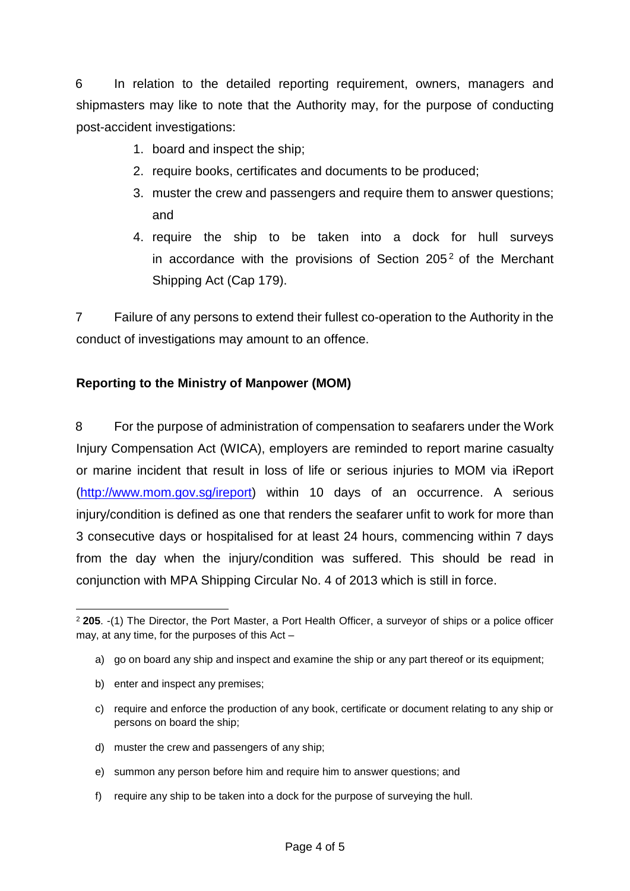6 In relation to the detailed reporting requirement, owners, managers and shipmasters may like to note that the Authority may, for the purpose of conducting post-accident investigations:

- 1. board and inspect the ship;
- 2. require books, certificates and documents to be produced;
- 3. muster the crew and passengers and require them to answer questions; and
- 4. require the ship to be taken into a dock for hull surveys in accordance with the provisions of Section  $205<sup>2</sup>$  $205<sup>2</sup>$  of the Merchant Shipping Act (Cap 179).

7 Failure of any persons to extend their fullest co-operation to the Authority in the conduct of investigations may amount to an offence.

## **Reporting to the Ministry of Manpower (MOM)**

8 For the purpose of administration of compensation to seafarers under the Work Injury Compensation Act (WICA), employers are reminded to report marine casualty or marine incident that result in loss of life or serious injuries to MOM via iReport [\(http://www.mom.gov.sg/ireport\)](http://www.mom.gov.sg/ireport) within 10 days of an occurrence. A serious injury/condition is defined as one that renders the seafarer unfit to work for more than 3 consecutive days or hospitalised for at least 24 hours, commencing within 7 days from the day when the injury/condition was suffered. This should be read in conjunction with MPA Shipping Circular No. 4 of 2013 which is still in force.

- b) enter and inspect any premises;
- c) require and enforce the production of any book, certificate or document relating to any ship or persons on board the ship;
- d) muster the crew and passengers of any ship;
- e) summon any person before him and require him to answer questions; and
- f) require any ship to be taken into a dock for the purpose of surveying the hull.

<span id="page-3-0"></span><sup>2</sup> **205**. -(1) The Director, the Port Master, a Port Health Officer, a surveyor of ships or a police officer may, at any time, for the purposes of this Act –

a) go on board any ship and inspect and examine the ship or any part thereof or its equipment;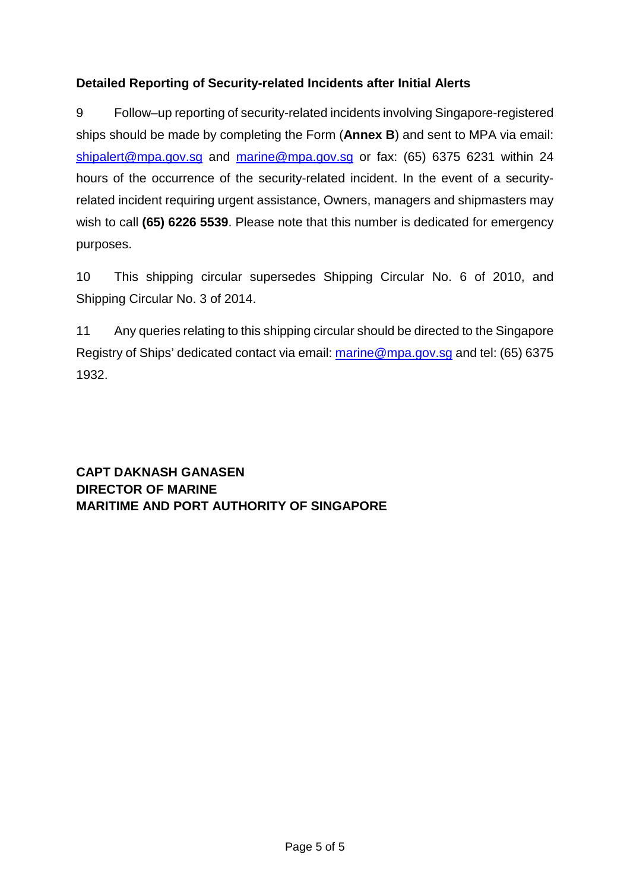## **Detailed Reporting of Security-related Incidents after Initial Alerts**

9 Follow–up reporting of security-related incidents involving Singapore-registered ships should be made by completing the Form (**[Annex B](#page-8-0)**) and sent to MPA via email: [shipalert@mpa.gov.sg](mailto:shipalert@mpa.gov.sg) and [marine@mpa.gov.sg](mailto:marine@mpa.gov.sg) or fax: (65) 6375 6231 within 24 hours of the occurrence of the security-related incident. In the event of a securityrelated incident requiring urgent assistance, Owners, managers and shipmasters may wish to call **(65) 6226 5539**. Please note that this number is dedicated for emergency purposes.

10 This shipping circular supersedes Shipping Circular No. 6 of 2010, and Shipping Circular No. 3 of 2014.

11 Any queries relating to this shipping circular should be directed to the Singapore Registry of Ships' dedicated contact via email: [marine@mpa.gov.sg](mailto:marine@mpa.gov.sg) and tel: (65) 6375 1932.

**CAPT DAKNASH GANASEN DIRECTOR OF MARINE MARITIME AND PORT AUTHORITY OF SINGAPORE**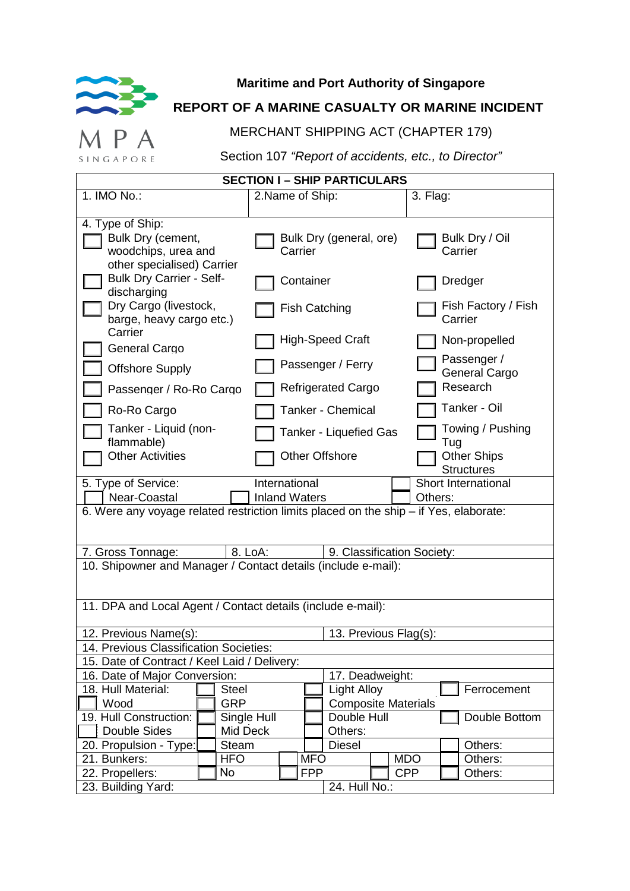<span id="page-5-0"></span>

# **Maritime and Port Authority of Singapore**

# **REPORT OF A MARINE CASUALTY OR MARINE INCIDENT**

MERCHANT SHIPPING ACT (CHAPTER 179)

SINGAPORE

 $\mathsf{A}$ 

Section 107 *"Report of accidents, etc., to Director"*

| <b>SECTION I - SHIP PARTICULARS</b>                                                                            |              |                 |            |                            |  |            |                                         |  |
|----------------------------------------------------------------------------------------------------------------|--------------|-----------------|------------|----------------------------|--|------------|-----------------------------------------|--|
| 1. IMO No.:                                                                                                    |              | 2.Name of Ship: |            |                            |  | 3. Flag:   |                                         |  |
| 4. Type of Ship:<br>Bulk Dry (cement,<br>woodchips, urea and<br>other specialised) Carrier                     |              | Carrier         |            | Bulk Dry (general, ore)    |  |            | Bulk Dry / Oil<br>Carrier               |  |
| <b>Bulk Dry Carrier - Self-</b><br>discharging                                                                 |              | Container       |            |                            |  |            | Dredger                                 |  |
| Dry Cargo (livestock,<br>barge, heavy cargo etc.)                                                              |              |                 |            | <b>Fish Catching</b>       |  |            | Fish Factory / Fish<br>Carrier          |  |
| Carrier<br><b>General Cargo</b>                                                                                |              |                 |            | <b>High-Speed Craft</b>    |  |            | Non-propelled                           |  |
| <b>Offshore Supply</b>                                                                                         |              |                 |            | Passenger / Ferry          |  |            | Passenger /<br>General Cargo            |  |
| Passenger / Ro-Ro Cargo                                                                                        |              |                 |            | <b>Refrigerated Cargo</b>  |  |            | Research                                |  |
| Ro-Ro Cargo                                                                                                    |              |                 |            | Tanker - Chemical          |  |            | Tanker - Oil                            |  |
| Tanker - Liquid (non-<br>flammable)                                                                            |              |                 |            | Tanker - Liquefied Gas     |  |            | Towing / Pushing<br>Tug                 |  |
| <b>Other Activities</b>                                                                                        |              |                 |            | <b>Other Offshore</b>      |  |            | <b>Other Ships</b><br><b>Structures</b> |  |
| Short International<br>International<br>5. Type of Service:<br>Near-Coastal<br><b>Inland Waters</b><br>Others: |              |                 |            |                            |  |            |                                         |  |
| 6. Were any voyage related restriction limits placed on the ship - if Yes, elaborate:                          |              |                 |            |                            |  |            |                                         |  |
| 8. LoA:<br>7. Gross Tonnage:<br>9. Classification Society:                                                     |              |                 |            |                            |  |            |                                         |  |
| 10. Shipowner and Manager / Contact details (include e-mail):                                                  |              |                 |            |                            |  |            |                                         |  |
|                                                                                                                |              |                 |            |                            |  |            |                                         |  |
| 11. DPA and Local Agent / Contact details (include e-mail):                                                    |              |                 |            |                            |  |            |                                         |  |
| 12. Previous Name(s):<br>13. Previous Flag(s):                                                                 |              |                 |            |                            |  |            |                                         |  |
| 14. Previous Classification Societies:                                                                         |              |                 |            |                            |  |            |                                         |  |
| 15. Date of Contract / Keel Laid / Delivery:                                                                   |              |                 |            |                            |  |            |                                         |  |
| 16. Date of Major Conversion:<br>17. Deadweight:                                                               |              |                 |            |                            |  |            |                                         |  |
| 18. Hull Material:                                                                                             | <b>Steel</b> |                 |            | <b>Light Alloy</b>         |  |            | Ferrocement                             |  |
| Wood                                                                                                           | <b>GRP</b>   |                 |            | <b>Composite Materials</b> |  |            |                                         |  |
| 19. Hull Construction:                                                                                         | Single Hull  |                 |            | Double Hull                |  |            | Double Bottom                           |  |
| Double Sides                                                                                                   | Mid Deck     |                 |            | Others:                    |  |            |                                         |  |
| 20. Propulsion - Type:                                                                                         | <b>Steam</b> |                 |            | <b>Diesel</b>              |  |            | Others:                                 |  |
| 21. Bunkers:                                                                                                   | <b>HFO</b>   |                 | <b>MFO</b> |                            |  | <b>MDO</b> | Others:                                 |  |
| 22. Propellers:                                                                                                | No           |                 | <b>FPP</b> |                            |  | <b>CPP</b> | Others:                                 |  |
| 23. Building Yard:                                                                                             |              |                 |            | 24. Hull No.:              |  |            |                                         |  |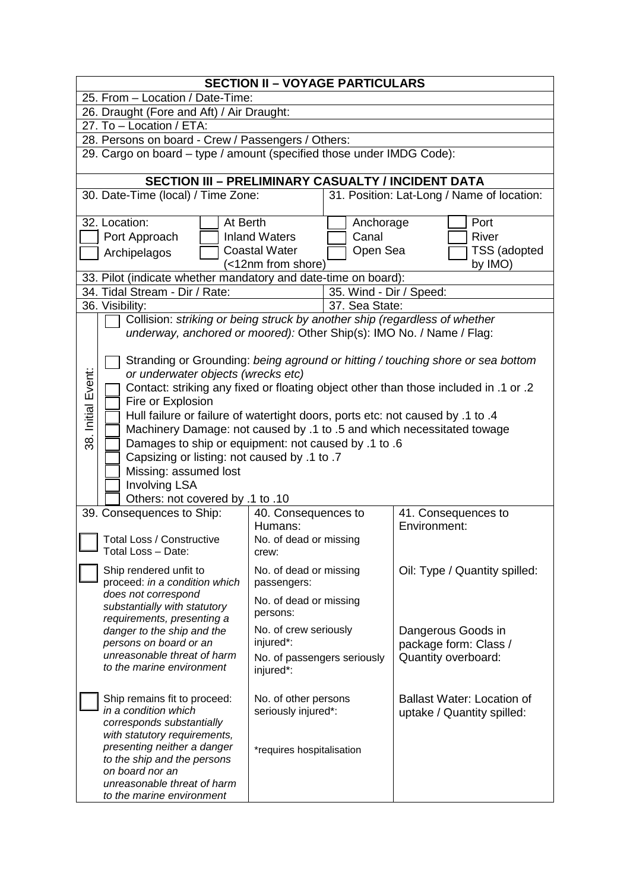|                    | <b>SECTION II - VOYAGE PARTICULARS</b>                                                                                                           |                                                                          |                         |                                                                                                                                                                         |  |  |
|--------------------|--------------------------------------------------------------------------------------------------------------------------------------------------|--------------------------------------------------------------------------|-------------------------|-------------------------------------------------------------------------------------------------------------------------------------------------------------------------|--|--|
|                    | 25. From - Location / Date-Time:                                                                                                                 |                                                                          |                         |                                                                                                                                                                         |  |  |
|                    | 26. Draught (Fore and Aft) / Air Draught:                                                                                                        |                                                                          |                         |                                                                                                                                                                         |  |  |
|                    | 27. To - Location / ETA:                                                                                                                         |                                                                          |                         |                                                                                                                                                                         |  |  |
|                    | 28. Persons on board - Crew / Passengers / Others:                                                                                               |                                                                          |                         |                                                                                                                                                                         |  |  |
|                    | 29. Cargo on board - type / amount (specified those under IMDG Code):                                                                            |                                                                          |                         |                                                                                                                                                                         |  |  |
|                    | <b>SECTION III - PRELIMINARY CASUALTY / INCIDENT DATA</b>                                                                                        |                                                                          |                         |                                                                                                                                                                         |  |  |
|                    | 30. Date-Time (local) / Time Zone:                                                                                                               |                                                                          |                         | 31. Position: Lat-Long / Name of location:                                                                                                                              |  |  |
|                    | 32. Location:<br>At Berth                                                                                                                        |                                                                          | Anchorage               | Port                                                                                                                                                                    |  |  |
|                    | Port Approach                                                                                                                                    | <b>Inland Waters</b>                                                     | Canal<br>River          |                                                                                                                                                                         |  |  |
|                    | Archipelagos                                                                                                                                     | <b>Coastal Water</b>                                                     | Open Sea                | TSS (adopted                                                                                                                                                            |  |  |
|                    |                                                                                                                                                  | (<12nm from shore)                                                       |                         | by IMO)                                                                                                                                                                 |  |  |
|                    | 33. Pilot (indicate whether mandatory and date-time on board):                                                                                   |                                                                          |                         |                                                                                                                                                                         |  |  |
|                    | 34. Tidal Stream - Dir / Rate:                                                                                                                   |                                                                          | 35. Wind - Dir / Speed: |                                                                                                                                                                         |  |  |
|                    | 36. Visibility:                                                                                                                                  |                                                                          | 37. Sea State:          |                                                                                                                                                                         |  |  |
|                    | Collision: striking or being struck by another ship (regardless of whether                                                                       |                                                                          |                         |                                                                                                                                                                         |  |  |
|                    | underway, anchored or moored): Other Ship(s): IMO No. / Name / Flag:                                                                             |                                                                          |                         |                                                                                                                                                                         |  |  |
| 38. Initial Event: | or underwater objects (wrecks etc)                                                                                                               |                                                                          |                         | Stranding or Grounding: being aground or hitting / touching shore or sea bottom<br>Contact: striking any fixed or floating object other than those included in .1 or .2 |  |  |
|                    | Fire or Explosion                                                                                                                                |                                                                          |                         |                                                                                                                                                                         |  |  |
|                    | Hull failure or failure of watertight doors, ports etc: not caused by .1 to .4                                                                   |                                                                          |                         |                                                                                                                                                                         |  |  |
|                    | Machinery Damage: not caused by .1 to .5 and which necessitated towage                                                                           |                                                                          |                         |                                                                                                                                                                         |  |  |
|                    | Damages to ship or equipment: not caused by .1 to .6                                                                                             |                                                                          |                         |                                                                                                                                                                         |  |  |
|                    | Capsizing or listing: not caused by .1 to .7                                                                                                     |                                                                          |                         |                                                                                                                                                                         |  |  |
|                    | Missing: assumed lost                                                                                                                            |                                                                          |                         |                                                                                                                                                                         |  |  |
|                    | <b>Involving LSA</b>                                                                                                                             |                                                                          |                         |                                                                                                                                                                         |  |  |
|                    | Others: not covered by .1 to .10                                                                                                                 |                                                                          |                         |                                                                                                                                                                         |  |  |
|                    | 39. Consequences to Ship:                                                                                                                        | 40. Consequences to                                                      |                         | 41. Consequences to                                                                                                                                                     |  |  |
|                    | Environment:<br>Humans:                                                                                                                          |                                                                          |                         |                                                                                                                                                                         |  |  |
|                    | <b>Total Loss / Constructive</b><br>No. of dead or missing                                                                                       |                                                                          |                         |                                                                                                                                                                         |  |  |
|                    | Total Loss - Date:<br>crew:                                                                                                                      |                                                                          |                         |                                                                                                                                                                         |  |  |
|                    | Ship rendered unfit to<br>Oil: Type / Quantity spilled:<br>No. of dead or missing<br>proceed: in a condition which<br>passengers:                |                                                                          |                         |                                                                                                                                                                         |  |  |
|                    | does not correspond<br>No. of dead or missing<br>substantially with statutory<br>persons:<br>requirements, presenting a                          |                                                                          |                         |                                                                                                                                                                         |  |  |
|                    | No. of crew seriously<br>danger to the ship and the<br>Dangerous Goods in<br>injured*:<br>persons on board or an<br>package form: Class /        |                                                                          |                         |                                                                                                                                                                         |  |  |
|                    | unreasonable threat of harm<br>Quantity overboard:<br>No. of passengers seriously<br>to the marine environment<br>injured*:                      |                                                                          |                         |                                                                                                                                                                         |  |  |
|                    | Ship remains fit to proceed:<br>in a condition which<br>corresponds substantially<br>with statutory requirements,<br>presenting neither a danger | No. of other persons<br>seriously injured*:<br>*requires hospitalisation |                         | <b>Ballast Water: Location of</b><br>uptake / Quantity spilled:                                                                                                         |  |  |
|                    | to the ship and the persons<br>on board nor an<br>unreasonable threat of harm<br>to the marine environment                                       |                                                                          |                         |                                                                                                                                                                         |  |  |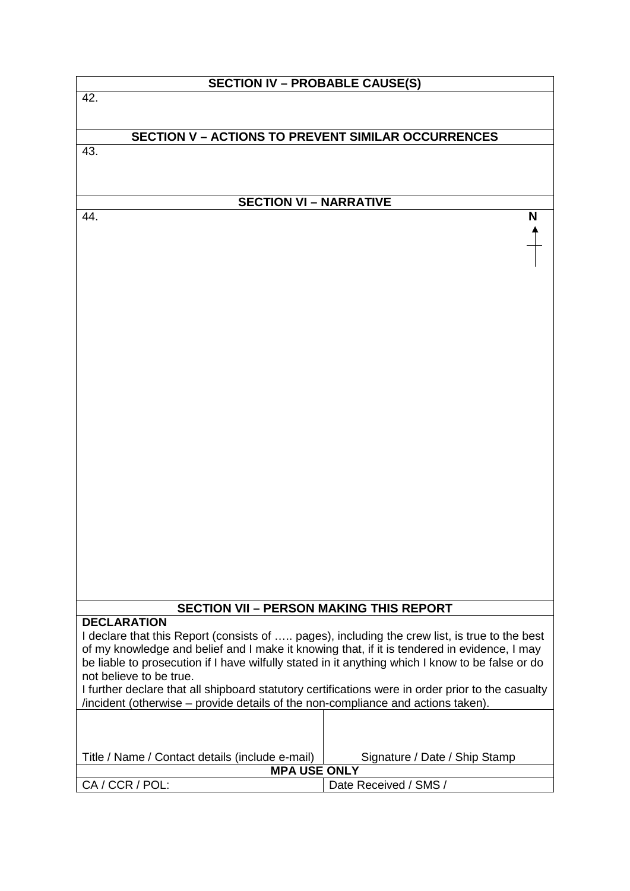| <b>SECTION IV - PROBABLE CAUSE(S)</b>                                                             |                               |  |  |  |
|---------------------------------------------------------------------------------------------------|-------------------------------|--|--|--|
| 42.                                                                                               |                               |  |  |  |
|                                                                                                   |                               |  |  |  |
| <b>SECTION V - ACTIONS TO PREVENT SIMILAR OCCURRENCES</b>                                         |                               |  |  |  |
| 43.                                                                                               |                               |  |  |  |
|                                                                                                   |                               |  |  |  |
|                                                                                                   |                               |  |  |  |
|                                                                                                   |                               |  |  |  |
| <b>SECTION VI - NARRATIVE</b>                                                                     |                               |  |  |  |
| 44.                                                                                               | N                             |  |  |  |
|                                                                                                   |                               |  |  |  |
|                                                                                                   |                               |  |  |  |
|                                                                                                   |                               |  |  |  |
|                                                                                                   |                               |  |  |  |
|                                                                                                   |                               |  |  |  |
|                                                                                                   |                               |  |  |  |
|                                                                                                   |                               |  |  |  |
|                                                                                                   |                               |  |  |  |
|                                                                                                   |                               |  |  |  |
|                                                                                                   |                               |  |  |  |
|                                                                                                   |                               |  |  |  |
|                                                                                                   |                               |  |  |  |
|                                                                                                   |                               |  |  |  |
|                                                                                                   |                               |  |  |  |
|                                                                                                   |                               |  |  |  |
|                                                                                                   |                               |  |  |  |
|                                                                                                   |                               |  |  |  |
|                                                                                                   |                               |  |  |  |
|                                                                                                   |                               |  |  |  |
|                                                                                                   |                               |  |  |  |
|                                                                                                   |                               |  |  |  |
|                                                                                                   |                               |  |  |  |
|                                                                                                   |                               |  |  |  |
|                                                                                                   |                               |  |  |  |
|                                                                                                   |                               |  |  |  |
|                                                                                                   |                               |  |  |  |
| <b>SECTION VII - PERSON MAKING THIS REPORT</b>                                                    |                               |  |  |  |
| <b>DECLARATION</b>                                                                                |                               |  |  |  |
| I declare that this Report (consists of  pages), including the crew list, is true to the best     |                               |  |  |  |
| of my knowledge and belief and I make it knowing that, if it is tendered in evidence, I may       |                               |  |  |  |
| be liable to prosecution if I have wilfully stated in it anything which I know to be false or do  |                               |  |  |  |
| not believe to be true.                                                                           |                               |  |  |  |
| I further declare that all shipboard statutory certifications were in order prior to the casualty |                               |  |  |  |
| /incident (otherwise – provide details of the non-compliance and actions taken).                  |                               |  |  |  |
|                                                                                                   |                               |  |  |  |
|                                                                                                   |                               |  |  |  |
|                                                                                                   |                               |  |  |  |
| Title / Name / Contact details (include e-mail)                                                   | Signature / Date / Ship Stamp |  |  |  |
| <b>MPA USE ONLY</b>                                                                               |                               |  |  |  |
| CA / CCR / POL:                                                                                   | Date Received / SMS /         |  |  |  |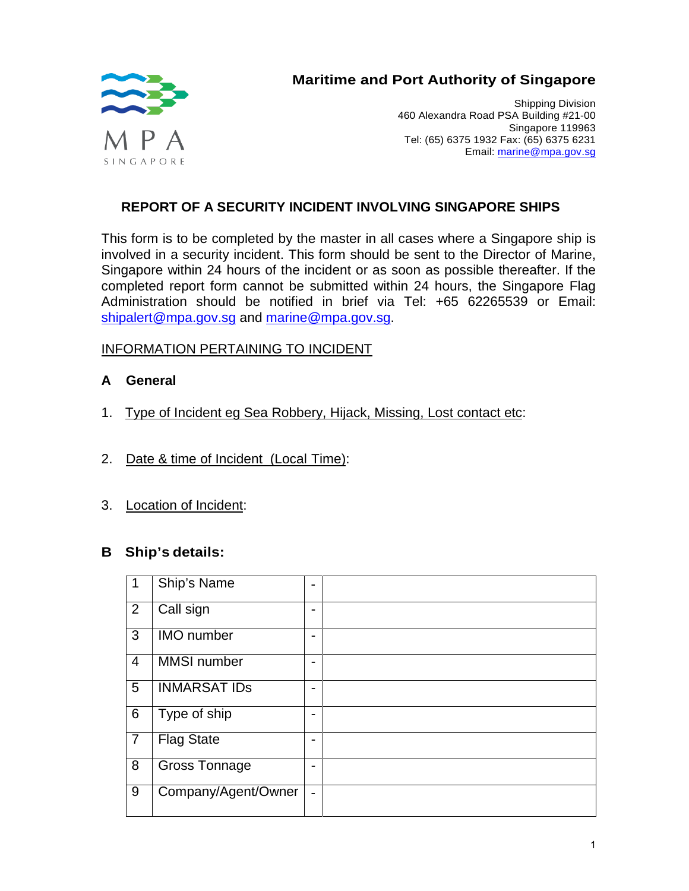<span id="page-8-0"></span>

# **Maritime and Port Authority of Singapore**

Shipping Division 460 Alexandra Road PSA Building #21-00 Singapore 119963 Tel: (65) 6375 1932 Fax: (65) 6375 6231 Email: [marine@mpa.gov.sg](mailto:marine@mpa.gov.sg)

### **REPORT OF A SECURITY INCIDENT INVOLVING SINGAPORE SHIPS**

This form is to be completed by the master in all cases where a Singapore ship is involved in a security incident. This form should be sent to the Director of Marine, Singapore within 24 hours of the incident or as soon as possible thereafter. If the completed report form cannot be submitted within 24 hours, the Singapore Flag Administration should be notified in brief via Tel: +65 62265539 or Email: [shipalert@mpa.gov.sg](mailto:shipalert@mpa.gov.sg) and [marine@mpa.gov.sg.](mailto:marine@mpa.gov.sg)

#### INFORMATION PERTAINING TO INCIDENT

#### **A General**

- 1. Type of Incident eg Sea Robbery, Hijack, Missing, Lost contact etc:
- 2. Date & time of Incident (Local Time):
- 3. Location of Incident:

#### **B Ship's details:**

| 1              | Ship's Name          | $\blacksquare$ |  |
|----------------|----------------------|----------------|--|
| 2              | Call sign            | ۰              |  |
| 3              | <b>IMO</b> number    | $\blacksquare$ |  |
| $\overline{4}$ | <b>MMSI</b> number   | $\blacksquare$ |  |
| 5              | <b>INMARSAT IDS</b>  | $\blacksquare$ |  |
| $\overline{6}$ | Type of ship         | $\blacksquare$ |  |
| $\overline{7}$ | <b>Flag State</b>    | $\blacksquare$ |  |
| 8              | <b>Gross Tonnage</b> | -              |  |
| 9              | Company/Agent/Owner  | $\blacksquare$ |  |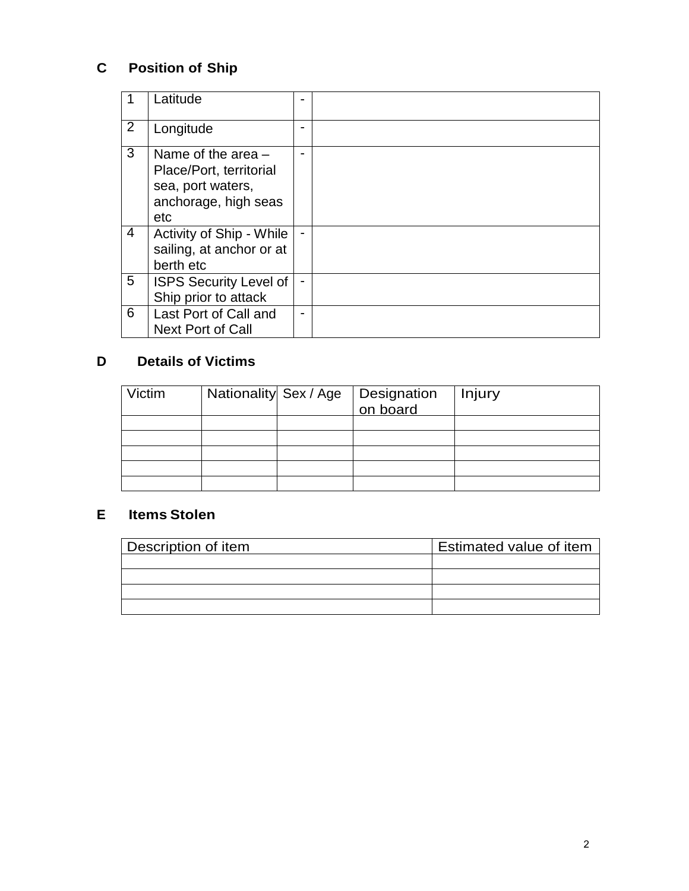# **C Position of Ship**

|                | Latitude                                                                                            | $\blacksquare$           |  |
|----------------|-----------------------------------------------------------------------------------------------------|--------------------------|--|
| $\overline{2}$ | Longitude                                                                                           | $\blacksquare$           |  |
| 3              | Name of the area $-$<br>Place/Port, territorial<br>sea, port waters,<br>anchorage, high seas<br>etc | $\overline{\phantom{0}}$ |  |
| 4              | Activity of Ship - While<br>sailing, at anchor or at<br>berth etc                                   | $\blacksquare$           |  |
| 5              | <b>ISPS Security Level of</b><br>Ship prior to attack                                               | $\blacksquare$           |  |
| 6              | Last Port of Call and<br><b>Next Port of Call</b>                                                   | $\overline{\phantom{0}}$ |  |

# **D Details of Victims**

| Victim |  | Nationality Sex / Age Designation | Injury |
|--------|--|-----------------------------------|--------|
|        |  |                                   |        |
|        |  |                                   |        |
|        |  |                                   |        |
|        |  |                                   |        |
|        |  |                                   |        |

## **E Items Stolen**

| Description of item | <b>Estimated value of item</b> |
|---------------------|--------------------------------|
|                     |                                |
|                     |                                |
|                     |                                |
|                     |                                |